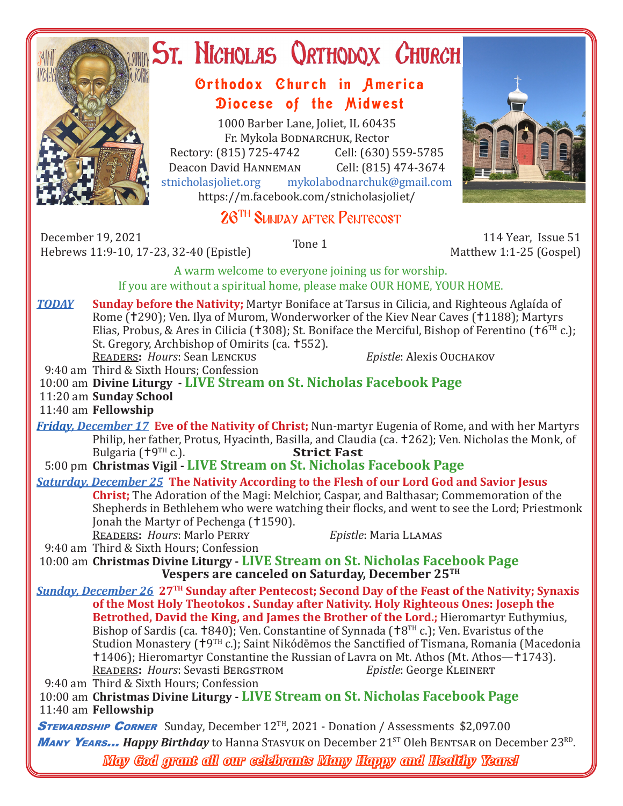

# ST. NICHOLAS QRTHODOX CHURCH

## Orthodox Church in America Diocese of the Midwest

1000 Barber Lane, Joliet, IL 60435 Fr. Mykola Bodnarchuk, Rector Rectory: (815) 725-4742 Cell: (630) 559-5785<br>Deacon David HANNEMAN Cell: (815) 474-3674 Deacon David HANNEMAN<br>stnicholasioliet.org mykola mykolabodnarchuk@gmail.com https://m.facebook.com/stnicholasjoliet/

## 26TH Sunday after Pentecost

December 19, 2021 December 19, 2021 114 Year, Issue 51<br>Hebrews 11:9-10, 17-23, 32-40 (Epistle) Tone 1 114 Year, Issue 51

Matthew 1:1-25 (Gospel)

A warm welcome to everyone joining us for worship. If you are without a spiritual home, please make OUR HOME, YOUR HOME.

*TODAY* **Sunday before the Nativity;** Martyr Boniface at Tarsus in Cilicia, and Righteous Aglaída of Rome (†290); Ven. Ilya of Murom, Wonderworker of the Kiev Near Caves (†1188); Martyrs Elias, Probus, & Ares in Cilicia ( $\text{\texttt{t308}}$ ); St. Boniface the Merciful, Bishop of Ferentino ( $\text{\texttt{t6}}^{\text{\tiny{\text{TH}}}}$ c.); St. Gregory, Archbishop of Omirits (ca. 552). Readers**:** *Hours*: Sean Lenckus *Epistle*: Alexis Ouchakov

9:40 am Third & Sixth Hours; Confession

10:00 am **Divine Liturgy - LIVE Stream on St. Nicholas Facebook Page**

11:20 am **Sunday School**

11:40 am **Fellowship**

*Friday, December 17* **Eve of the Nativity of Christ;** Nun-martyr Eugenia of Rome, and with her Martyrs Philip, her father, Protus, Hyacinth, Basilla, and Claudia (ca.  $\pm 262$ ); Ven. Nicholas the Monk, of Bulgaria ( $\pm 9^{TH}$  c.).<br>**Strict Fast** Bulgaria (<sup>† 9TH</sup> c.).

5:00 pm **Christmas Vigil - LIVE Stream on St. Nicholas Facebook Page**

*Saturday, December 25* **The Nativity According to the Flesh of our Lord God and Savior Jesus Christ;** The Adoration of the Magi: Melchior, Caspar, and Balthasar; Commemoration of the Shepherds in Bethlehem who were watching their flocks, and went to see the Lord; Priestmonk Jonah the Martyr of Pechenga (†1590).

Readers**:** *Hours*: Marlo Perry *Epistle*: Maria Llamas

9:40 am Third & Sixth Hours; Confession

 10:00 am **Christmas Divine Liturgy - LIVE Stream on St. Nicholas Facebook Page Vespers are canceled on Saturday, December 25TH**

*Sunday, December 26* **27TH Sunday after Pentecost; Second Day of the Feast of the Nativity; Synaxis of the Most Holy Theotokos . Sunday after Nativity. Holy Righteous Ones: Joseph the Betrothed, David the King, and James the Brother of the Lord.;** Hieromartyr Euthymius, Bishop of Sardis (ca.  $\pm 840$ ); Ven. Constantine of Synnada ( $\pm 8$ <sup>TH</sup> c.); Ven. Evaristus of the Studion Monastery (†9TH c.); Saint Nikódēmos the Sanctified of Tismana, Romania (Macedonia †1406); Hieromartyr Constantine the Russian of Lavra on Mt. Athos (Mt. Athos—†1743).<br>READERS: Hours: Sevasti BERGSTROM *Epistle*: George KLEINERT READERS: *Hours*: Sevasti BERGSTROM 9:40 am Third & Sixth Hours; Confession

 10:00 am **Christmas Divine Liturgy - LIVE Stream on St. Nicholas Facebook Page** 11:40 am **Fellowship**

**STEWARDSHIP CORNER** Sunday, December 12<sup>TH</sup>, 2021 - Donation / Assessments \$2,097.00 Many Y**EARS...** Happy Birthday to Hanna Stasyuk on December 21<sup>ST</sup> Oleh BENTSAR on December 23RD. *May God grant all our celebrants Many Happy and Healthy Years!*